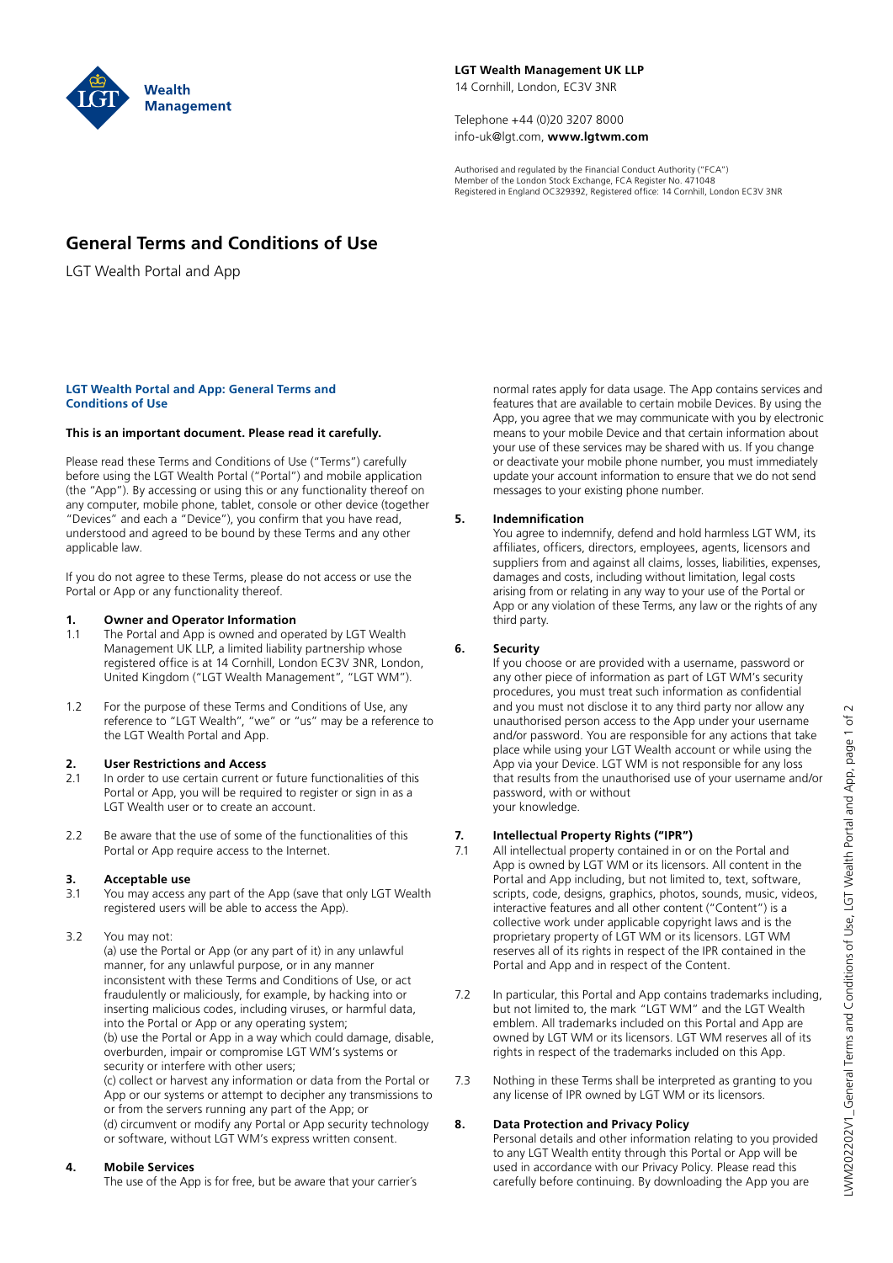

**LGT Wealth Management UK LLP** 14 Cornhill, London, EC3V 3NR

Telephone +44 (0)20 3207 8000 info-uk@lgt.com, **www.lgtwm.com**

Authorised and regulated by the Financial Conduct Authority ("FCA") Member of the London Stock Exchange, FCA Register No. 471048 Registered in England OC329392, Registered office: 14 Cornhill, London EC3V 3NR

## **General Terms and Conditions of Use**

LGT Wealth Portal and App

### **LGT Wealth Portal and App: General Terms and Conditions of Use**

### **This is an important document. Please read it carefully.**

Please read these Terms and Conditions of Use ("Terms") carefully before using the LGT Wealth Portal ("Portal") and mobile application (the "App"). By accessing or using this or any functionality thereof on any computer, mobile phone, tablet, console or other device (together "Devices" and each a "Device"), you confirm that you have read, understood and agreed to be bound by these Terms and any other applicable law.

If you do not agree to these Terms, please do not access or use the Portal or App or any functionality thereof.

### **1. Owner and Operator Information**

- 1.1 The Portal and App is owned and operated by LGT Wealth Management UK LLP, a limited liability partnership whose registered office is at 14 Cornhill, London EC3V 3NR, London, United Kingdom ("LGT Wealth Management", "LGT WM").
- 1.2 For the purpose of these Terms and Conditions of Use, any reference to "LGT Wealth", "we" or "us" may be a reference to the LGT Wealth Portal and App.

### **2. User Restrictions and Access**

- 2.1 In order to use certain current or future functionalities of this Portal or App, you will be required to register or sign in as a LGT Wealth user or to create an account.
- 2.2 Be aware that the use of some of the functionalities of this Portal or App require access to the Internet.

# **3. Acceptable use**

- 3.1 You may access any part of the App (save that only LGT Wealth registered users will be able to access the App).
- 3.2 You may not:

(a) use the Portal or App (or any part of it) in any unlawful manner, for any unlawful purpose, or in any manner inconsistent with these Terms and Conditions of Use, or act fraudulently or maliciously, for example, by hacking into or inserting malicious codes, including viruses, or harmful data, into the Portal or App or any operating system; (b) use the Portal or App in a way which could damage, disable, overburden, impair or compromise LGT WM's systems or security or interfere with other users;

(c) collect or harvest any information or data from the Portal or App or our systems or attempt to decipher any transmissions to or from the servers running any part of the App; or (d) circumvent or modify any Portal or App security technology or software, without LGT WM's express written consent.

### **4. Mobile Services**

The use of the App is for free, but be aware that your carrier´s

normal rates apply for data usage. The App contains services and features that are available to certain mobile Devices. By using the App, you agree that we may communicate with you by electronic means to your mobile Device and that certain information about your use of these services may be shared with us. If you change or deactivate your mobile phone number, you must immediately update your account information to ensure that we do not send messages to your existing phone number.

### **5. Indemnification**

You agree to indemnify, defend and hold harmless LGT WM, its affiliates, officers, directors, employees, agents, licensors and suppliers from and against all claims, losses, liabilities, expenses, damages and costs, including without limitation, legal costs arising from or relating in any way to your use of the Portal or App or any violation of these Terms, any law or the rights of any third party.

### **6. Security**

If you choose or are provided with a username, password or any other piece of information as part of LGT WM's security procedures, you must treat such information as confidential and you must not disclose it to any third party nor allow any unauthorised person access to the App under your username and/or password. You are responsible for any actions that take place while using your LGT Wealth account or while using the App via your Device. LGT WM is not responsible for any loss that results from the unauthorised use of your username and/or password, with or without your knowledge.

### **7. Intellectual Property Rights ("IPR")**

- 7.1 All intellectual property contained in or on the Portal and App is owned by LGT WM or its licensors. All content in the Portal and App including, but not limited to, text, software, scripts, code, designs, graphics, photos, sounds, music, videos, interactive features and all other content ("Content") is a collective work under applicable copyright laws and is the proprietary property of LGT WM or its licensors. LGT WM reserves all of its rights in respect of the IPR contained in the Portal and App and in respect of the Content.
- 7.2 In particular, this Portal and App contains trademarks including, but not limited to, the mark "LGT WM" and the LGT Wealth emblem. All trademarks included on this Portal and App are owned by LGT WM or its licensors. LGT WM reserves all of its rights in respect of the trademarks included on this App.
- 7.3 Nothing in these Terms shall be interpreted as granting to you any license of IPR owned by LGT WM or its licensors.

### **8. Data Protection and Privacy Policy**

Personal details and other information relating to you provided to any LGT Wealth entity through this Portal or App will be used in accordance with our Privacy Policy. Please read this carefully before continuing. By downloading the App you are